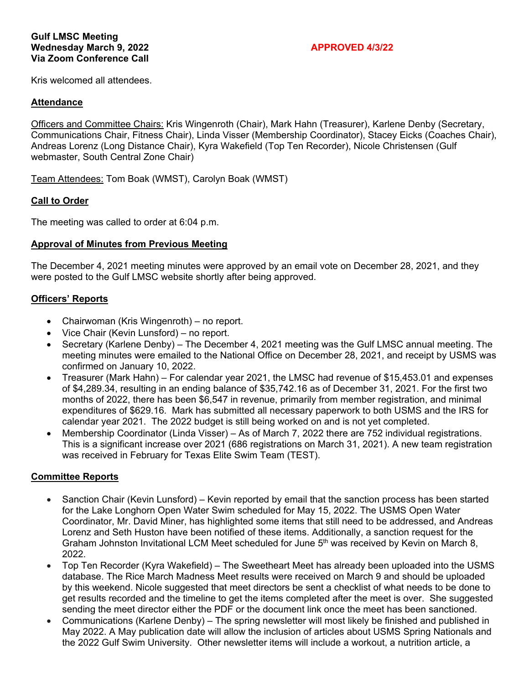Kris welcomed all attendees.

### **Attendance**

Officers and Committee Chairs: Kris Wingenroth (Chair), Mark Hahn (Treasurer), Karlene Denby (Secretary, Communications Chair, Fitness Chair), Linda Visser (Membership Coordinator), Stacey Eicks (Coaches Chair), Andreas Lorenz (Long Distance Chair), Kyra Wakefield (Top Ten Recorder), Nicole Christensen (Gulf webmaster, South Central Zone Chair)

Team Attendees: Tom Boak (WMST), Carolyn Boak (WMST)

### **Call to Order**

The meeting was called to order at 6:04 p.m.

### **Approval of Minutes from Previous Meeting**

The December 4, 2021 meeting minutes were approved by an email vote on December 28, 2021, and they were posted to the Gulf LMSC website shortly after being approved.

### **Officers' Reports**

- Chairwoman (Kris Wingenroth) no report.
- Vice Chair (Kevin Lunsford) no report.
- Secretary (Karlene Denby) The December 4, 2021 meeting was the Gulf LMSC annual meeting. The meeting minutes were emailed to the National Office on December 28, 2021, and receipt by USMS was confirmed on January 10, 2022.
- Treasurer (Mark Hahn) For calendar year 2021, the LMSC had revenue of \$15,453.01 and expenses of \$4,289.34, resulting in an ending balance of \$35,742.16 as of December 31, 2021. For the first two months of 2022, there has been \$6,547 in revenue, primarily from member registration, and minimal expenditures of \$629.16. Mark has submitted all necessary paperwork to both USMS and the IRS for calendar year 2021. The 2022 budget is still being worked on and is not yet completed.
- Membership Coordinator (Linda Visser) As of March 7, 2022 there are 752 individual registrations. This is a significant increase over 2021 (686 registrations on March 31, 2021). A new team registration was received in February for Texas Elite Swim Team (TEST).

### **Committee Reports**

- Sanction Chair (Kevin Lunsford) Kevin reported by email that the sanction process has been started for the Lake Longhorn Open Water Swim scheduled for May 15, 2022. The USMS Open Water Coordinator, Mr. David Miner, has highlighted some items that still need to be addressed, and Andreas Lorenz and Seth Huston have been notified of these items. Additionally, a sanction request for the Graham Johnston Invitational LCM Meet scheduled for June 5<sup>th</sup> was received by Kevin on March 8, 2022.
- Top Ten Recorder (Kyra Wakefield) The Sweetheart Meet has already been uploaded into the USMS database. The Rice March Madness Meet results were received on March 9 and should be uploaded by this weekend. Nicole suggested that meet directors be sent a checklist of what needs to be done to get results recorded and the timeline to get the items completed after the meet is over. She suggested sending the meet director either the PDF or the document link once the meet has been sanctioned.
- Communications (Karlene Denby) The spring newsletter will most likely be finished and published in May 2022. A May publication date will allow the inclusion of articles about USMS Spring Nationals and the 2022 Gulf Swim University. Other newsletter items will include a workout, a nutrition article, a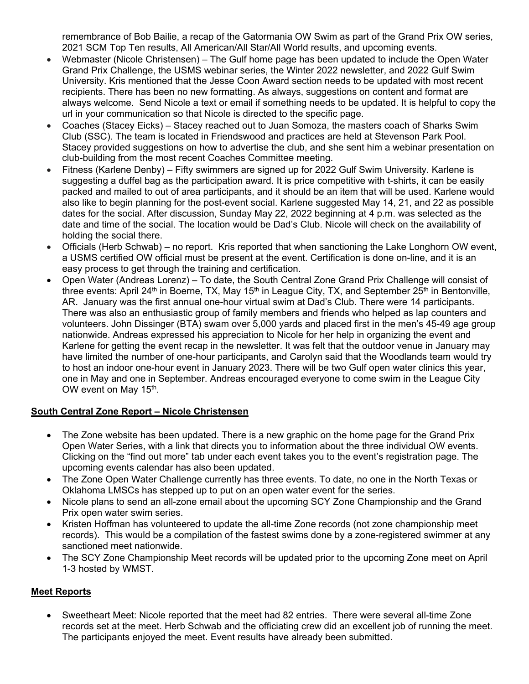remembrance of Bob Bailie, a recap of the Gatormania OW Swim as part of the Grand Prix OW series, 2021 SCM Top Ten results, All American/All Star/All World results, and upcoming events.

- Webmaster (Nicole Christensen) The Gulf home page has been updated to include the Open Water Grand Prix Challenge, the USMS webinar series, the Winter 2022 newsletter, and 2022 Gulf Swim University. Kris mentioned that the Jesse Coon Award section needs to be updated with most recent recipients. There has been no new formatting. As always, suggestions on content and format are always welcome. Send Nicole a text or email if something needs to be updated. It is helpful to copy the url in your communication so that Nicole is directed to the specific page.
- Coaches (Stacey Eicks) Stacey reached out to Juan Somoza, the masters coach of Sharks Swim Club (SSC). The team is located in Friendswood and practices are held at Stevenson Park Pool. Stacey provided suggestions on how to advertise the club, and she sent him a webinar presentation on club-building from the most recent Coaches Committee meeting.
- Fitness (Karlene Denby) Fifty swimmers are signed up for 2022 Gulf Swim University. Karlene is suggesting a duffel bag as the participation award. It is price competitive with t-shirts, it can be easily packed and mailed to out of area participants, and it should be an item that will be used. Karlene would also like to begin planning for the post-event social. Karlene suggested May 14, 21, and 22 as possible dates for the social. After discussion, Sunday May 22, 2022 beginning at 4 p.m. was selected as the date and time of the social. The location would be Dad's Club. Nicole will check on the availability of holding the social there.
- Officials (Herb Schwab) no report. Kris reported that when sanctioning the Lake Longhorn OW event, a USMS certified OW official must be present at the event. Certification is done on-line, and it is an easy process to get through the training and certification.
- Open Water (Andreas Lorenz) To date, the South Central Zone Grand Prix Challenge will consist of three events: April 24<sup>th</sup> in Boerne, TX, May 15<sup>th</sup> in League City, TX, and September 25<sup>th</sup> in Bentonville, AR. January was the first annual one-hour virtual swim at Dad's Club. There were 14 participants. There was also an enthusiastic group of family members and friends who helped as lap counters and volunteers. John Dissinger (BTA) swam over 5,000 yards and placed first in the men's 45-49 age group nationwide. Andreas expressed his appreciation to Nicole for her help in organizing the event and Karlene for getting the event recap in the newsletter. It was felt that the outdoor venue in January may have limited the number of one-hour participants, and Carolyn said that the Woodlands team would try to host an indoor one-hour event in January 2023. There will be two Gulf open water clinics this year, one in May and one in September. Andreas encouraged everyone to come swim in the League City OW event on May 15<sup>th</sup>.

# **South Central Zone Report – Nicole Christensen**

- The Zone website has been updated. There is a new graphic on the home page for the Grand Prix Open Water Series, with a link that directs you to information about the three individual OW events. Clicking on the "find out more" tab under each event takes you to the event's registration page. The upcoming events calendar has also been updated.
- The Zone Open Water Challenge currently has three events. To date, no one in the North Texas or Oklahoma LMSCs has stepped up to put on an open water event for the series.
- Nicole plans to send an all-zone email about the upcoming SCY Zone Championship and the Grand Prix open water swim series.
- Kristen Hoffman has volunteered to update the all-time Zone records (not zone championship meet records). This would be a compilation of the fastest swims done by a zone-registered swimmer at any sanctioned meet nationwide.
- The SCY Zone Championship Meet records will be updated prior to the upcoming Zone meet on April 1-3 hosted by WMST.

# **Meet Reports**

 Sweetheart Meet: Nicole reported that the meet had 82 entries. There were several all-time Zone records set at the meet. Herb Schwab and the officiating crew did an excellent job of running the meet. The participants enjoyed the meet. Event results have already been submitted.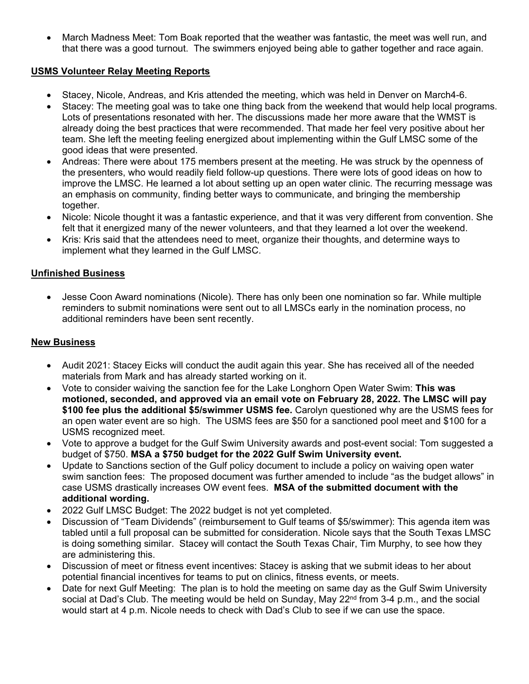March Madness Meet: Tom Boak reported that the weather was fantastic, the meet was well run, and that there was a good turnout. The swimmers enjoyed being able to gather together and race again.

## **USMS Volunteer Relay Meeting Reports**

- Stacey, Nicole, Andreas, and Kris attended the meeting, which was held in Denver on March4-6.
- Stacey: The meeting goal was to take one thing back from the weekend that would help local programs. Lots of presentations resonated with her. The discussions made her more aware that the WMST is already doing the best practices that were recommended. That made her feel very positive about her team. She left the meeting feeling energized about implementing within the Gulf LMSC some of the good ideas that were presented.
- Andreas: There were about 175 members present at the meeting. He was struck by the openness of the presenters, who would readily field follow-up questions. There were lots of good ideas on how to improve the LMSC. He learned a lot about setting up an open water clinic. The recurring message was an emphasis on community, finding better ways to communicate, and bringing the membership together.
- Nicole: Nicole thought it was a fantastic experience, and that it was very different from convention. She felt that it energized many of the newer volunteers, and that they learned a lot over the weekend.
- Kris: Kris said that the attendees need to meet, organize their thoughts, and determine ways to implement what they learned in the Gulf LMSC.

## **Unfinished Business**

 Jesse Coon Award nominations (Nicole). There has only been one nomination so far. While multiple reminders to submit nominations were sent out to all LMSCs early in the nomination process, no additional reminders have been sent recently.

# **New Business**

- Audit 2021: Stacey Eicks will conduct the audit again this year. She has received all of the needed materials from Mark and has already started working on it.
- Vote to consider waiving the sanction fee for the Lake Longhorn Open Water Swim: **This was motioned, seconded, and approved via an email vote on February 28, 2022. The LMSC will pay \$100 fee plus the additional \$5/swimmer USMS fee.** Carolyn questioned why are the USMS fees for an open water event are so high. The USMS fees are \$50 for a sanctioned pool meet and \$100 for a USMS recognized meet.
- Vote to approve a budget for the Gulf Swim University awards and post-event social: Tom suggested a budget of \$750. **MSA a \$750 budget for the 2022 Gulf Swim University event.**
- Update to Sanctions section of the Gulf policy document to include a policy on waiving open water swim sanction fees: The proposed document was further amended to include "as the budget allows" in case USMS drastically increases OW event fees. **MSA of the submitted document with the additional wording.**
- 2022 Gulf LMSC Budget: The 2022 budget is not yet completed.
- Discussion of "Team Dividends" (reimbursement to Gulf teams of \$5/swimmer): This agenda item was tabled until a full proposal can be submitted for consideration. Nicole says that the South Texas LMSC is doing something similar. Stacey will contact the South Texas Chair, Tim Murphy, to see how they are administering this.
- Discussion of meet or fitness event incentives: Stacey is asking that we submit ideas to her about potential financial incentives for teams to put on clinics, fitness events, or meets.
- Date for next Gulf Meeting: The plan is to hold the meeting on same day as the Gulf Swim University social at Dad's Club. The meeting would be held on Sunday, May  $22<sup>nd</sup>$  from 3-4 p.m., and the social would start at 4 p.m. Nicole needs to check with Dad's Club to see if we can use the space.